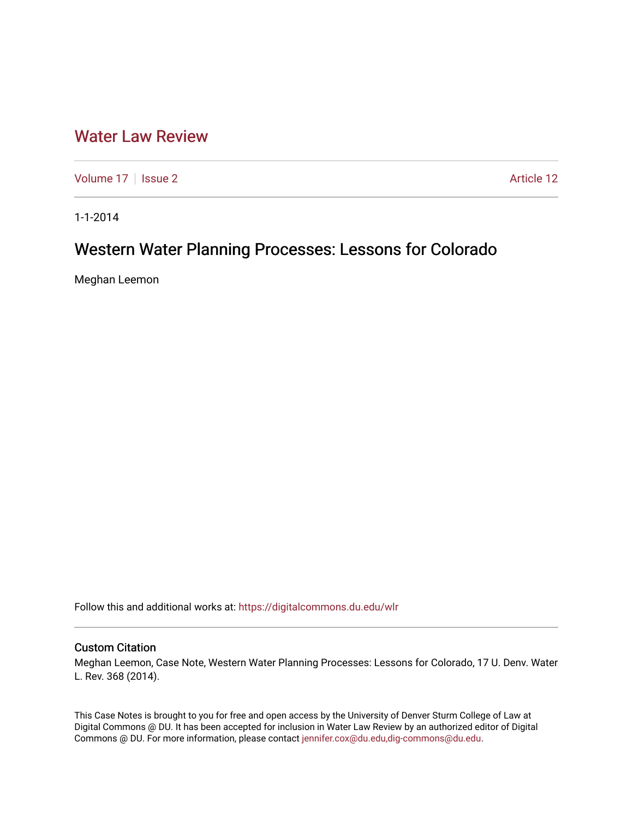# [Water Law Review](https://digitalcommons.du.edu/wlr)

[Volume 17](https://digitalcommons.du.edu/wlr/vol17) | [Issue 2](https://digitalcommons.du.edu/wlr/vol17/iss2) Article 12

1-1-2014

# Western Water Planning Processes: Lessons for Colorado

Meghan Leemon

Follow this and additional works at: [https://digitalcommons.du.edu/wlr](https://digitalcommons.du.edu/wlr?utm_source=digitalcommons.du.edu%2Fwlr%2Fvol17%2Fiss2%2F12&utm_medium=PDF&utm_campaign=PDFCoverPages) 

### Custom Citation

Meghan Leemon, Case Note, Western Water Planning Processes: Lessons for Colorado, 17 U. Denv. Water L. Rev. 368 (2014).

This Case Notes is brought to you for free and open access by the University of Denver Sturm College of Law at Digital Commons @ DU. It has been accepted for inclusion in Water Law Review by an authorized editor of Digital Commons @ DU. For more information, please contact [jennifer.cox@du.edu,dig-commons@du.edu.](mailto:jennifer.cox@du.edu,dig-commons@du.edu)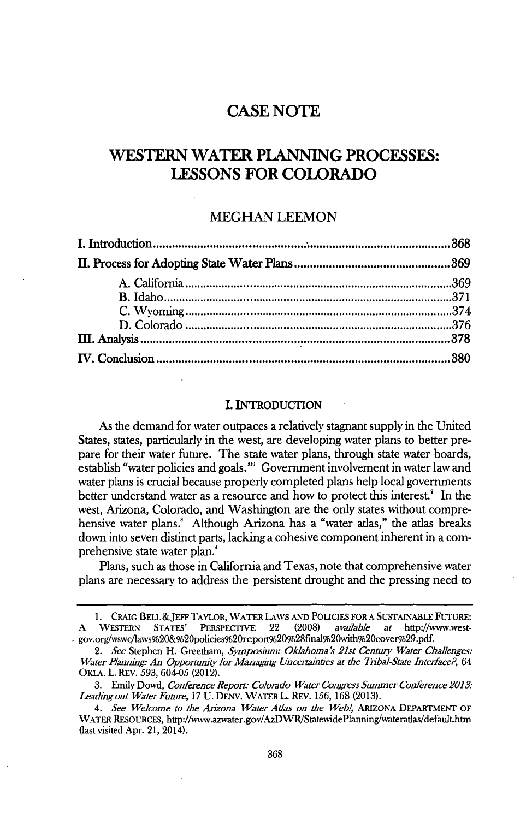## **CASE NOTE**

## **WESTERN WATER PLANNING PROCESSES: LESSONS FOR COLORADO**

### **MEGHAN LEEMON**

#### I. INTRODUCTION

As the demand for water outpaces a relatively stagnant supply in the United States, states, particularly in the west, are developing water plans to better prepare for their water future. The state water plans, through state water boards, establish "water policies and goals."' Government involvement in water law and water plans is crucial because properly completed plans help local governments better understand water as a resource and how to protect this interest.' In the west, Arizona, Colorado, and Washington are the only states without comprehensive water plans.' Although Arizona has a "water atlas," the atlas breaks down into seven distinct parts, lacking a cohesive component inherent in a comprehensive state water plan.'

Plans, such as those in California and Texas, note that comprehensive water plans are necessary to address the persistent drought and the pressing need to

**<sup>1.</sup>** CRAIG BELL &JEFF TAYLOR, WATER LAWS **AND POLICIES** FOR **A** SUSTAINABLE FUTURE: **A** WEsTERN STATES' PERSPECTIVE 22 **(2008)** *avadable at* http://www.westgov.org/wswc/laws%20&%20policies%20report%20%28final%20with%20cover%29.pdf.

*<sup>2.</sup> See* Stephen H. Greetham, *Symposium: Oklahoma's 21st Century Water Challenges: Water Planning: An Opportunity for Managing Uncertainties at the Tribal-State Interface?*, 64 OKLA. L. REv. *593,* 604-05 (2012).

**<sup>3.</sup>** Emily Dowd, *Conference Repor\* Colorado Water Congress Summer Conference 2013: Leadmg out Water Future,* **17** U. DENV. WATER L. REv. **156, 168 (2013).**

*<sup>4.</sup> See Welcome to the Aniona Water Atlas on the Web!,* ARIZONA DEPARTMENT OF WATER RESOURCES, http://wvw.azwater.gov/AzDWR/StatewidePlanning/wateratlas/default.htm (last visited Apr. 21, 2014).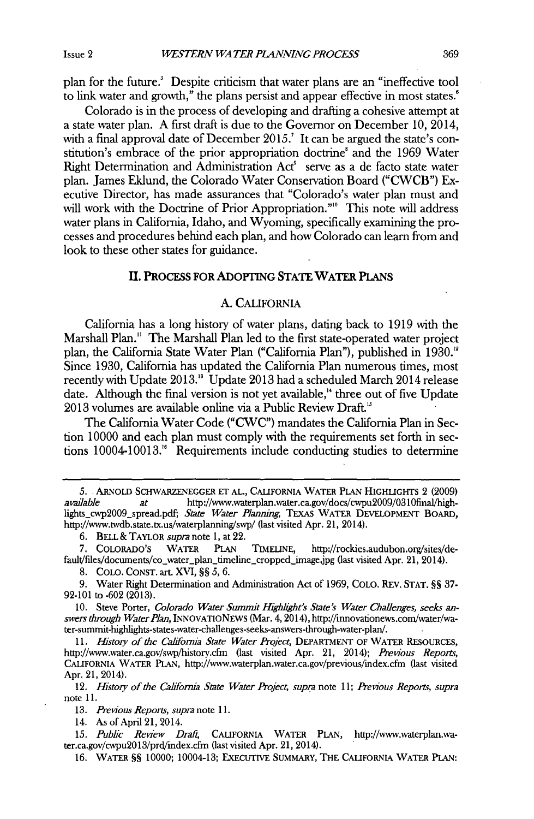plan for the future.' Despite criticism that water plans are an "ineffective tool to link water and growth," the plans persist and appear effective in most states.'

Colorado is in the process of developing and drafting a cohesive attempt at a state water plan. **A** first draft is due to the Governor on December **10,** 2014, with a final approval date of December **2015.'** It can be argued the state's *con*stitution's embrace of the prior appropriation doctrine' and the **1969** Water Right Determination and Administration Act' serve as a de facto state water plan. James Eklund, the Colorado Water Conservation Board ("CWCB") Executive Director, has made assurances that "Colorado's water plan must and will work with the Doctrine of Prior Appropriation."<sup>10</sup> This note will address water plans in California, Idaho, and Wyoming, specifically examining the processes and procedures behind each plan, and how Colorado can learn from and look to these other states for guidance.

#### II. **PROCESS** FOR ADOPIING **STATE** WATER **PLANS**

#### **A.** CALIFORNIA

California has a long history of water plans, dating back to **1919** with the Marshall Plan." The Marshall Plan led to the first state-operated water project plan, the California State Water Plan ("California Plan"), published in **1930."** Since **1930,** California has updated the California Plan numerous times, most recently with Update **2013."** Update **2013** had a scheduled March 2014 release date. Although the final version is not yet available," three out of five Update **2013** volumes are available online via a Public Review Draft."

The California Water Code ("CWC") mandates the California Plan in Section **10000** and each plan must comply with the requirements set forth in sections 10004-10013." Requirements include conducting studies to determine

**6.** BELL **&** TAYLOR *supra* note **1,** at 22.

**8. COLO. CONST.** art XVI, **§§** *5, 6.*

**9.** Water Right Determination and Administration Act of **1969, COLO.** REv. **STAT. §§ 37- 92-101** to **-602 (2013).**

10. Steve Porter, *Colorado Water Summit Highlight's State's Water Challenges, seeks answers through WaterPlan,* INNOvATIONEws (Mar. 4,2014), http://innovationews.com/water/water-summit-highlights-states-water-challenges-seeks-answers-through-water-plan/.

*11. History of the Cahfornia State Water Project,* DEPARTMENT OF WATER **RESOURCES,** http://www.water.ca.gov/swp/history.cfm (last visited Apr. 21, 2014); *Previous Reports,* CALIFORNIA WATER **PLAN,** http://www.waterplan.water.ca.gov/previous/index.cfm (last visited Apr. 21, 2014).

*12. 1istory of the California State Water Project, supra* note *11; Previous Reports, supra* note **11.**

*13. Previous Reports, supra note* **11.**

14. As of April 21, 2014.

15. Public Review Draft, CALIFORNIA WATER PLAN, http://www.waterplan.water.ca.gov/cwpu20l3/prd/index.cfm (last visited Apr. 21, 2014).

**16.** WATER **§§ 10000;** 10004-13; ExEcuTIvE SUMMARY, THE **CALIFORNIA** WATER **PLAN:**

*<sup>5.</sup>* **.**ARNOLD SCHWARZENEGGER **ET AL.,** CALIFORNIA WATER PLAN HIGHLIGHTs 2 **(2009)** *avadable at* http://www.waterplan.water.ca.gov/docs/cwpu2009/0310final/highlights\_cwp2009\_spread.pdf; *State Water Planning,* TExAs WATER DEVELOPMENT BOARD, http://www.twdb.state.tx.us/waterplanning/swp/ (last visited Apr. 21, 2014).

**<sup>7.</sup>** CoLoRADo's WATER **PLAN** TIMELINE, http://rockies.audubon.org/sites/default/files/documents/co\_water\_plan\_timeline\_cropped\_image.jpg (last visited Apr. 21, 2014).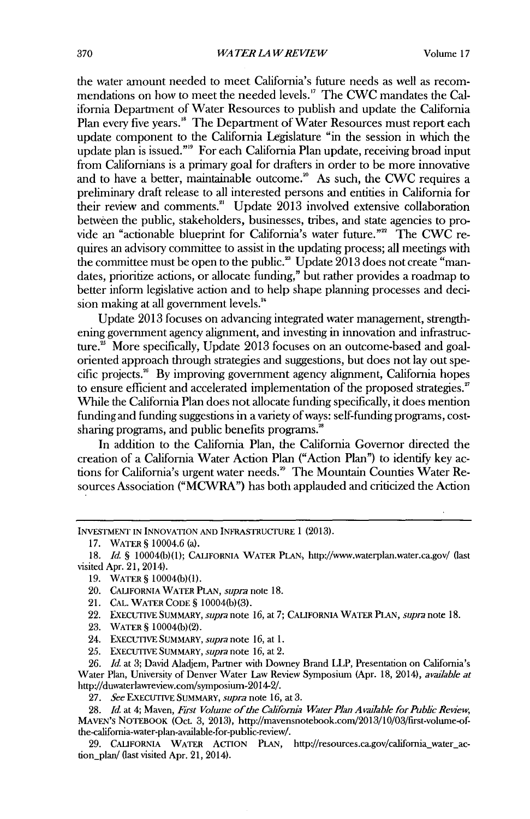the water amount needed to meet California's future needs as well as recommendations on how to meet the needed levels." The CWC mandates the California Department of Water Resources to publish and update the California Plan every five years.<sup>18</sup> The Department of Water Resources must report each update component to the California Legislature **"in** the session in which the update plan is issued."<sup>9</sup> For each California Plan update, receiving broad input from Californians is a primary goal for drafters **in** order to be more innovative and to have a better, maintainable outcome.<sup>20</sup> As such, the CWC requires a preliminary draft release to all interested persons and entities in California for their review and comments." Update **2013** involved extensive collaboration between the public, stakeholders, businesses, tribes, and state agencies to provide an "actionable blueprint for California's water future."<sup>22</sup> The CWC requires an advisory committee to assist in the updating process; all meetings with the committee must be open to the public.<sup>28</sup> Update 2013 does not create "mandates, prioritize actions, or allocate funding," but rather provides a roadmap to better inform legislative action and to help shape planning processes and decision making at all government levels."

Update **2013** focuses on advancing integrated water management, strengthening government agency alignment, and investing in innovation and infrastructure.' More specifically, Update **2013** focuses on an outcome-based and goaloriented approach through strategies and suggestions, but does not lay out specific projects." **By** improving government agency alignment, California hopes to ensure efficient and accelerated implementation of the proposed strategies." While the California Plan does not allocate funding specifically, it does mention funding and funding suggestions in a variety of ways: self-funding programs, costsharing programs, and public benefits programs.<sup>28</sup>

In addition to the California Plan, the California Governor directed the creation of a California Water Action Plan ("Action Plan") to identify key actions for California's urgent water needs." The Mountain Counties Water Resources Association ("MCWRA") has both applauded and criticized the Action

- 21. **CAL.** WATER **CODE** § 10004(b)(3).
- 22. EXECUTIVE SUMMARY, *supra note* **16,** at *7;* CALIFORNIA WATER **PLAN,** *supra* note **18.**
- **23.** WATER **S** 10004(b)(2).
- 24. EXECUTIVE SUMMARY, *supra note* **16,** at **1.**
- **25. EXECUTIVE** SUMMARY, *supra note* **16,** at 2.

**26.** *Id.* at **3;** David Aladjem, Partner with Downey Brand LLP, Presentation on California's Water Plan, University of Denver Water Law Review Symposium (Apr. **18,** 2014), *available at* http://duwaterlawreview.com/symposium-2014-2/.

29. CALIFORNIA WATER ACTION PLAN, http://resources.ca.gov/california\_water\_action\_plan/ (last visited Apr. 21, 2014).

**INVESTMENT IN INNOVATION AND** INFRASTRUCTURE **1 (2013).**

**<sup>17.</sup>** WATER **S** 10004.6 (a).

*<sup>18.</sup> Id.* **§** 10004(b)(1); **CALIFORNIA** WATER **PLAN,** http://www.waterplan.water.ca.gov/ (last visited Apr. 21, 2014).

**<sup>19.</sup>** WATER S 10004(b)(1).

<sup>20.</sup> **CALIFORNIA** WATER **PLAN,** *supra* note **18.**

*<sup>27.</sup> See* EXECUTIVE SUMMARY, *supra* note **16,** at **3.**

<sup>28.</sup> *Id.* at 4; Maven, *First Volume of the California Water Plan Available for Public Review*, MAvEN's NOTEBOOK (Oct. **3, 2013),** http://mavensnotebook.com/2013/10/03/first-volume-ofthe-califomia-water-plan-available-for-public-review/.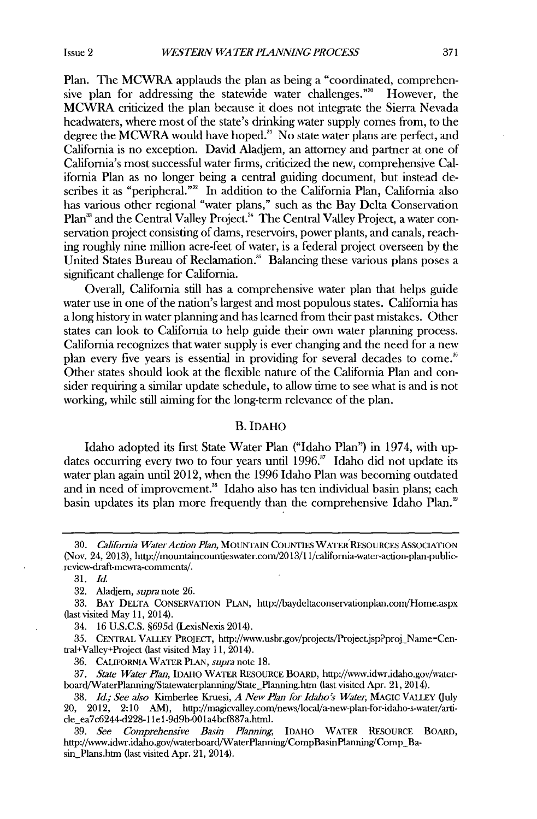Plan. The MCWRA applauds the plan as being a "coordinated, comprehensive plan for addressing the statewide water challenges."<sup>30</sup> However, the MCWRA criticized the plan because it does not integrate the Sierra Nevada headwaters, where most of the state's drinking water supply comes from, to the degree the MCWRA would have hoped." No state water plans are perfect, and California is no exception. David Aladjem, an attorney and partner at one of California's most successful water firms, criticized the new, comprehensive California Plan as no longer being a central guiding document, but instead describes it as "peripheral."<sup>32</sup> In addition to the California Plan, California also has various other regional "water plans," such as the Bay Delta Conservation Plan<sup>33</sup> and the Central Valley Project.<sup>34</sup> The Central Valley Project, a water conservation project consisting of dams, reservoirs, power plants, and canals, reaching roughly nine million acre-feet of water, is a federal project overseen **by** the United States Bureau of Reclamation." Balancing these various plans poses a significant challenge for California.

Overall, California still has a comprehensive water plan that helps guide water use **in** one of the nation's largest and most populous states. California has a long history in water planning and has learned from their past mistakes. Other states can look to California to **help** guide their own water planning process. California recognizes that water supply is ever changing and the need for a new plan every five years is essential in providing for several decades to come." Other states should look at the flexible nature of the California Plan and consider requiring a similar update schedule, to allow time to see what is and **is** not working, while still aiming for the long-term relevance of the plan.

#### B. **IDAHO**

Idaho adopted its first State Water Plan ("Idaho Plan") in 1974, with updates occurring every two to four years until **1996."** Idaho did not update its water plan again until 2012, when the **1996** Idaho Plan was becoming outdated and in need of improvement." Idaho also has ten individual basin plans; each basin updates its plan more frequently than the comprehensive Idaho Plan."

**36. CALIFORNIA WATER PLAN,** *supra* note **18.**

*<sup>30.</sup> CahTornna WaterAction Plan,* **MOUNTAIN COUNTIES WATER RESOURCES ASSOCIATION** (Nov. 24, **2013),** http://mountaincountieswater.con/2013/1 1/california-water-action-plan-publicreview-draft-mcwra-comments/.

*<sup>31.</sup> Id.*

**<sup>32.</sup>** Aladjem, *supra* note **26.**

**<sup>33.</sup> BAY DELTA CONSERVATION PLAN,** http://baydeltaconservationplan.com/Home.aspx (last visited May **11,** 2014).

<sup>34.</sup> **16 U.S.C.S. §695d** (LexisNexis 2014).

*<sup>35.</sup>* **CENTRAL VALLEY PROJECT,** http://www.usbr.gov/projects/Project.jsp?proj Name-Central+Valey+Project (last visited May **11,** 2014).

*<sup>37.</sup> State Water Plan,* **IDAHO WATER RESOURCE BOARD,** http://www.idwr.idaho.gov/waterboard/WaterPlanning/Statewaterplanning/State\_Planning.htm (last visited Apr. 21, 2014).

**<sup>38.</sup>** *Id.; See also* Kimberlee Kruesi, *A New Plan for Idaho's Water,* **MAGIC VALLEY (July** 20, 2012, 2:10 AM), http://magievalley.com/news/local/a-new-plan-for-idaho-s-water/article ea7c6244-d228-1lel-9d9b-00la4bcf887a.html.

**<sup>39.</sup>** *See Comprehensive Basin Planning,* **IDAHO WATER RESOURCE BOARD,** http://www.idwr.idaho.gov/waterboard/WaterPlanning/CompBasinPlanning/Comp\_Basin\_Plans.htm (last visited Apr. 21, 2014).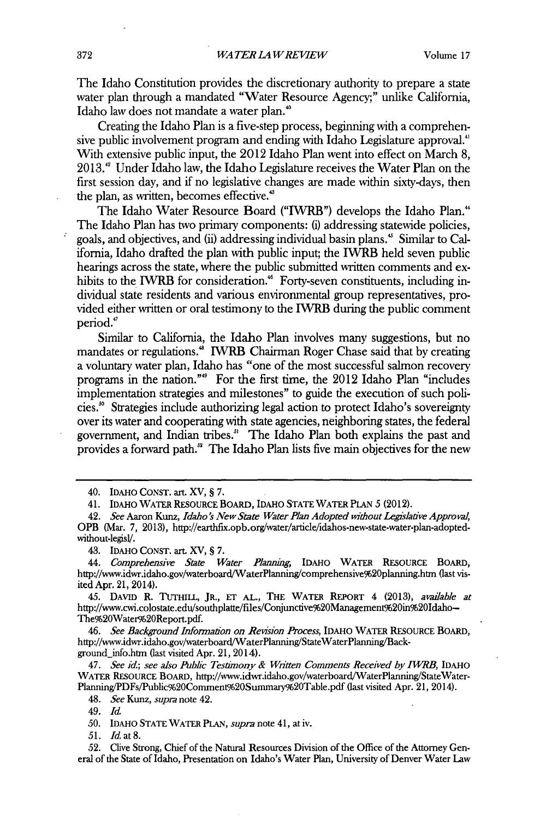The Idaho Constitution provides the discretionary authority to prepare a state water plan through a mandated "Water Resource Agency;" unlike California, Idaho law does not mandate a water plan.'

Creating the Idaho Plan is a five-step process, beginning with a comprehensive public involvement program and ending with Idaho Legislature approval." With extensive public input, the 2012 Idaho Plan went into effect on March **8, 2013."** Under Idaho law, the Idaho Legislature receives the Water Plan on the first session day, and if no legislative changes are made within sixty-days, then the plan, as written, becomes effective.'

The Idaho Water Resource Board ("IWRB") develops the Idaho Plan." The Idaho Plan has two primary components: (i) addressing statewide policies, goals, and objectives, and (ii) addressing individual basin plans." Similar to California, Idaho drafted the plan with public input; the **IWRB** held seven public hearings across the state, where the public submitted written comments and exhibits to the IWRB for consideration.<sup>46</sup> Forty-seven constituents, including individual state residents and various environmental group representatives, provided either written or oral testimony to the IWRB during the public comment period."

Similar to California, the Idaho Plan involves many suggestions, but no mandates or regulations." IWRB Chairman Roger Chase said that **by** creating a voluntary water plan, Idaho has "one of the most successful salmon recovery programs in the nation."" For the first time, the 2012 Idaho Plan "includes implementation strategies and milestones" to guide the execution of such policies." Strategies include authorizing legal action to protect Idaho's sovereignty over its water and cooperating with state agencies, neighboring states, the federal government, and Indian **tribes."** The Idaho Plan both explains the past and provides a forward path." The Idaho Plan lists five main objectives for the new

45. **DAVID** R. **TUTHILL, JR., ET AL., THE WATER REPORT** 4 **(2013),** *avadable at* http://www.cwi.colostate.edu/southplatte/files/Conjunctive%20Management%20in%20Idaho-The%20Water%20Report.pdf.

46. *See Background Information on Revision Process,* **IDAHO WATER RESOURCE BOARD,** http://www.idwr.idaho.gov/waterboard/WaterPlanning/StateWaterPlanning/Background-info.htm (last visited Apr. 21, 2014).

47. *See id.; see also Pubc Testimony & Written Comments Received by IWRB,* **IDAHO WATER RESOURCE BOARD,** http://www.idwr.idaho.gov/waterboard/WaterPlanning/StateWater-Planning/PDFs/Public%20Comment9620Summary%20Table.pdf (last visited Apr. 21, 2014).

48. *See Kunz,* supra note 42.

**49.** *Id*

*50.* **IDAHO STATE WATER PLAN,** *supra* note **41,** at iv.

*51.* Id at **8.**

**52.** Clive Strong, Chief of the Natural Resources Division of the Office of the Attorney General of the State of Idaho, Presentation on Idaho's Water Plan, University of Denver Water Law

<sup>40.</sup> **IDAHO CONST.** art. XV, **S 7.**

<sup>41.</sup> **IDAHo WATER RESOURCE BOARD, IDAHO STATE WATER PLAN** *5* (2012).

<sup>42.</sup> *See* Aaron Kunz, *Idaho's New State Water Plan Adopted without Legisladve Approval,* OPB (Mar. **7, 2013),** http://earthfix.opb.org/water/article/idahos-new-state-water-plan-adoptedwithout-legisl/.

<sup>43.</sup> **IDAHO CONST.** art. XV, **S 7.**

*<sup>44.</sup> Comprehensive State Water Plannn,* **IDAHO WATER RESOURCE BOARD,** http://www.idwr.idaho.gov/waterboard/WaterPlanning/comprehensive%20planning.htm (last visited Apr. 21, 2014).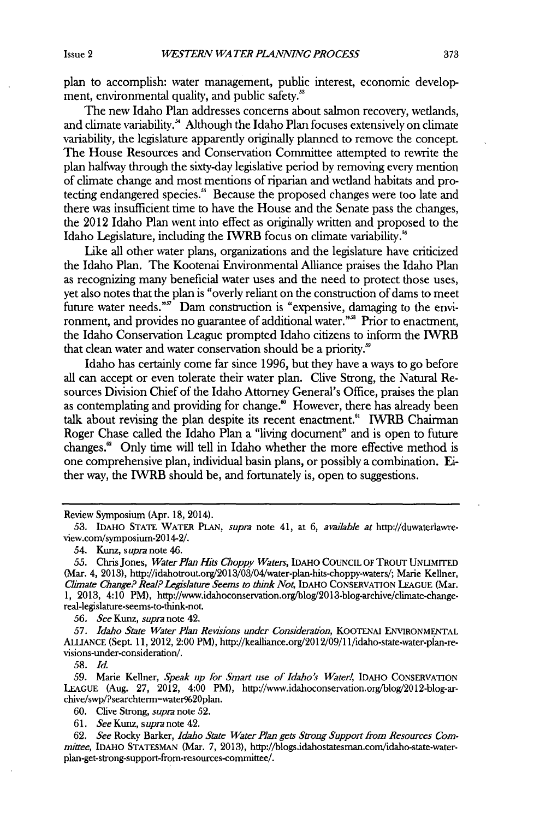plan to accomplish: water management, public interest, economic development, environmental quality, and public safety.<sup>58</sup>

The new Idaho Plan addresses concerns about salmon recovery, wetlands, and climate variability.<sup>54</sup> Although the Idaho Plan focuses extensively on climate variability, the legislature apparently originally planned to remove the concept. The House Resources and Conservation Committee attempted to rewrite the plan halfway through the sixty-day legislative period **by** removing every mention of climate change and most mentions of riparian and wetland habitats and protecting endangered species." Because the proposed changes were too late and there was insufficient time to have the House and the Senate pass the changes, the 2012 Idaho Plan went into effect as originally written and proposed to the Idaho Legislature, including the **IWRB** focus on climate variability."

Like all other water plans, organizations and the legislature have criticized the Idaho Plan. The Kootenai Environmental Alliance praises the Idaho Plan as recognizing many beneficial water uses and the need to protect those uses, yet also notes that the plan is "overly reliant on the construction of dams to meet future water needs."" Dam construction is "expensive, damaging to the environment, and provides no guarantee of additional water."" Prior to enactment, the Idaho Conservation League prompted Idaho citizens to inform the **IWRB** that clean water and water conservation should be a priority."

Idaho has certainly come far since **1996,** but they have a ways to go before all can accept or even tolerate their water plan. Clive Strong, the Natural Resources Division Chief of the Idaho Attorney General's Office, praises the plan as contemplating and providing for change. $\omega$  However, there has already been talk about revising the plan despite its recent enactment." **IVRB** Chairman Roger Chase called the Idaho Plan a "living document" and is open to future changes." Only time will tell in Idaho whether the more effective method is one comprehensive plan, individual basin plans, or possibly a combination. Either way, the IWRB should be, and fortunately is, open to suggestions.

Review Symposium (Apr. **18,** 2014).

*54.* Kunz, *supra* note 46.

*56. See Kunz, supra* note 42.

*57. Idaho State Water Plan Revisions under Consideration,* KOOTENAI ENVIRONMENTAL ALLIANCE (Sept. **11,** 2012, 2:00 PM), http://kealliance.org/2012/09/1 1/idaho-state-water-plan-revisions-under-consideration/.

*58. Id*

*59.* Marie Kellner, *Speak up for Smart use of Idaho's Water!,* **IDAHO** CONSERVATION **LEAGUE** (Aug. **27,** 2012, 4:00 PM), http://www.idahoconservation.org/blog/2012-blog-archive/swp/?searchterm-water%20plan.

**60.** Clive Strong, *supra* note **52.**

*61. See Kunz, supra* note 42.

*62. See* Rocky Barker, *Idaho State Water Plan gets Strong Support from Resources Committee,* IDAHO **STATESMAN** (Mar. **7, 2013),** http://blogs.idahostatesman.com/idaho-state-waterplan-get-strong-support-from-resources-committee/.

**<sup>53.</sup>** IDAHO **STATE** WATER **PLAN,** *supra* note 41, at **6,** *available at* http://duwaterlawreview.com/symposium-2014-2/.

*<sup>55.</sup>* Chris Jones, *Water Plan Hits Choppy Waters,* IDAHO **COUNCIL** OF TROUT UNLIMITED (Mar. 4, **2013),** http://idahotrout.org/2013/03/04/water-plan-hits-choppy-waters/; Marie Kellner, *Climate Change? Real? Legislature Seems to think No4* IDAHO **CONSERVATION LEAGUE** (Mar. **1, 2013,** 4:10 PM), http://www.idahoconservation.org/blog/2013-blog-archive/climate-changereal-legislature-seems-to-think-not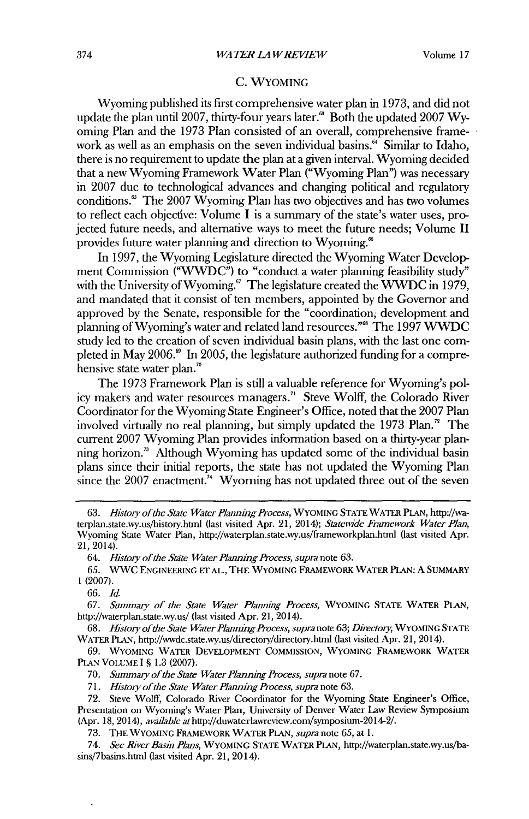#### **C.** WYOMING

Wyoming published its first comprehensive water plan in **1973,** and **did** not update the plan until 2007, thirty-four years later.<sup>88</sup> Both the updated 2007 Wyoming Plan and the **1973** Plan consisted of an overall, comprehensive framework as well as an emphasis on the seven individual basins." Similar to Idaho, there is no requirement to update the plan at a given interval. Wyoming decided that a new Wyoming Framework Water Plan ("Wyoming Plan") was necessary in **2007** due to technological advances and changing political and regulatory conditions.' The **2007** Wyoming Plan has two objectives and has two volumes to reflect each objecdve: Volume I is a summary of the state's water uses, projected future needs, and alternative ways to meet the future needs; Volume II provides future water planning and direction to Wyoming.'

In **1997,** the Wyoming Legislature directed the Wyoming Water Development Commission **("WWDC")** to "conduct a water planning feasibility study" with the University of Wyoming.<sup>67</sup> The legislature created the WWDC in 1979, and mandated that it consist of ten members, appointed **by** the Governor and approved **by** the Senate, responsible for the "coordination; development and planning of Wyoming's water and related land resources."' The **1997** WWDC study led to the creation of seven individual basin plans, with the last one completed in May 2006.<sup>8</sup> In 2005, the legislature authorized funding for a comprehensive state water plan."

The **1973** Framework Plan is still a valuable reference for Wyoming's policy makers and water resources managers.<sup>"</sup> Steve Wolff, the Colorado River Coordinator for the Wyoming State Engineer's Office, noted that the **2007** Plan involved virtually no real planning, but simply updated the 1973 Plan.<sup>72</sup> The current **2007** Wyoming Plan provides information based on a thirty-year planning horizon.<sup>73</sup> Although Wyoming has updated some of the individual basin plans since their initial reports, the state has not updated the Wyoming Plan since the 2007 enactment.<sup>74</sup> Wyoming has not updated three out of the seven

*64. History of the Sate Water Planning Process, supra* note **63.**

*66. Id.*

*67. Summary of the State Water Planning Process,* **WYOMING STATE WATER PLAN,** http://waterplan.state.wy.us/ (last visited Apr. 21, 2014).

*68. History ofthe State WaterPlannng Process, supra* note **63;** *Directory,* **WYOMING STATE WATER PLAN,** http://wwdc.state.wy.us/directory/directory.html (last visited Apr. 21, 2014).

*69.* **WYOMING WATER DEVELOPMENT COMMISSION, WYOMING FRAMEWORK WATER PLAN VOLUME I § 1.3 (2007).**

*70. Summary of the State Water Planning Process, supra* note **67.**

*71. History ofthe State Water Planning Process, supra* note **63.**

**72.** Steve Wolff, Colorado River Coordinator for the Wyoming State Engineer's Office, Presentation on Wyoming's Water Plan, University of Denver Water Law Review Symposium (Apr. **18,** 2014), *avadable* athttp://duwaterlawreview.com/symposium-2014-2/.

**73.** THE **WYOMING FRAMEWORK WATER PLAN,** *supra note* **65,** at **1.**

*74. See River Basin Plans,* **WYOMING STATE WATER PLAN,** http://waterplan.state.wy.us/basins/7basins.html (last visited Apr. 21, 2014).

*<sup>63.</sup> History ofthe State WaterPlanningProcess,* **WYOMING STATE WATER PLAN,** http://waterplan.state.wy.us/history.htnl (last visited Apr. 21, 2014); *Statewide Framework Water Plan,* Wyoming State Water Plan, http://waterplan.state.wy.us/frameworkplan.html (last visited Apr. 21, 2014).

*<sup>65.</sup>* WWC **ENGINEERING ET AL., THE WYOMING FRAMEWORK WATER PLAN: A SUMMARY 1 (2007).**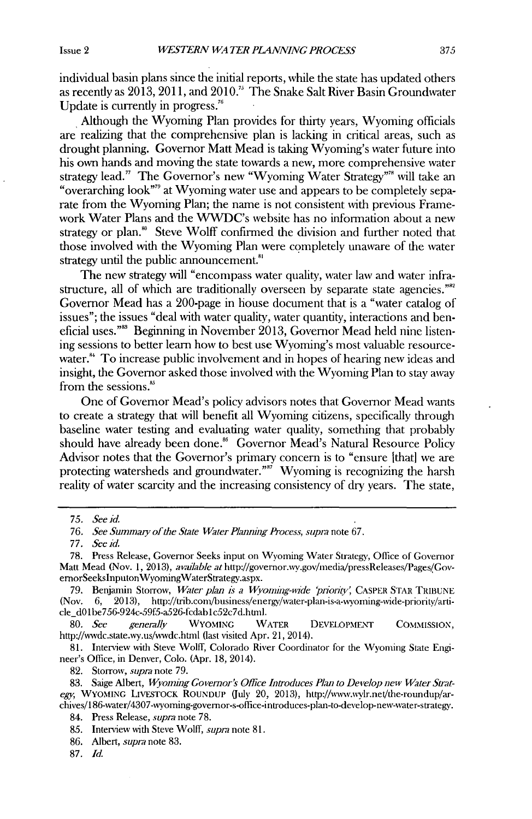individual basin plans since the initial reports, while the state has updated others as recently as **2013, 2011,** and **2010."** The Snake Salt River Basin Groundwater Update is currently in progress.<sup>76</sup>

a Although the Wyoming Plan provides for thirty years, Wyoming officials are realizing that the comprehensive plan is lacking in critical areas, such as drought planning. Governor Matt Mead is taking Wyoming's water future into his own hands and moving the state towards a new, more comprehensive water strategy lead." The Governor's new "Wyoming Water Strategy"<sup>38</sup> will take an "overarching look"<sup>79</sup> at Wyoming water use and appears to be completely separate from the Wyoming Plan; the name is not consistent with previous Framework Water Plans and the WWDC's website has no information about a new strategy or plan.<sup>80</sup> Steve Wolff confirmed the division and further noted that those involved with the Wyoming Plan were completely unaware of the water strategy until the public announcement."'

The new strategy **will** "encompass water quality, water law and water infrastructure, all of which are traditionally overseen **by** separate state agencies."" Governor Mead has a 200-page in house document that is a "water catalog of issues"; the issues "deal with water quality, water quantity, interactions and beneficial uses."<sup>88</sup> Beginning in November 2013, Governor Mead held nine listening sessions to better learn how to best use Wyoming's most valuable resourcewater.<sup>\*\*</sup> To increase public involvement and in hopes of hearing new ideas and insight, the Governor asked those involved with the Wyoming Plan to stay away from the sessions.'

One of Governor Mead's policy advisors notes that Governor Mead wants to create a strategy that will benefit all Wyoming citizens, specifically through baseline water testing and evaluating water quality, something that probably should have already been done." Governor Mead's Natural Resource Policy Advisor notes that the Governor's primary concern is to "ensure [that] we are protecting watersheds and groundwater."<sup> $\vec{r}$ </sup> Wyoming is recognizing the harsh reality of water scarcity and the increasing consistency of dry years. The state,

**80.** *See generally* WYOMING WATER **DEVELOPMENT COMMISSION,** http://wwdc.state.wy.us/wwdc.htnl (last visited Apr. 21, 2014).

**81.** Interview with Steve Wolff, Colorado River Coordinator for the Wyoming State Engineer's Office, in Denver, Colo. (Apr. **18,** 2014).

**82.** Storrow, *supra* note **79.**

**86.** Albert, *supra* note **83.**

**87.** *Id.*

*<sup>75.</sup> See id.*

*<sup>76.</sup> See Summay of the State Water Planning Process, supra* note **67.**

*<sup>77.</sup> See id.*

**<sup>78.</sup>** Press Release, Governor Seeks input on Wyoming Water Strategy, Office of Governor Matt Mead (Nov. 1, 2013), *available at http://governor.wy.gov/media/pressReleases/Pages/Gov*ernorSeeksInputonWyomingWaterStrategy.aspx.

<sup>79.</sup> Benjamin Storrow, *Water plan is a Wyoming-wide 'priority'*, CASPER STAR TRIBUNE (Nov. **6, 2013),** http://trib.com/business/energy/water-plan-is-a-wyoning-wide-priority/article dO1be756-924c-59f5-a526-fcdablc52c7d.html.

**<sup>83.</sup>** Saige Albert, *Wyoming Governor's Office Introduces Plan to Develop new Water Sirategy,* WYOMING LIVESTOCK ROUNDUP (uly 20, **2013),** http://www.wvlr.neVthe-roundup/archives/i 86-water/4307-wyoming-governor-s-ofice-introduces-plan-to-develop-new-water-strategy.

<sup>84.</sup> Press Release, *supra* note **78.**

*<sup>85.</sup>* Interview with Steve Wolff, *supra* note **81.**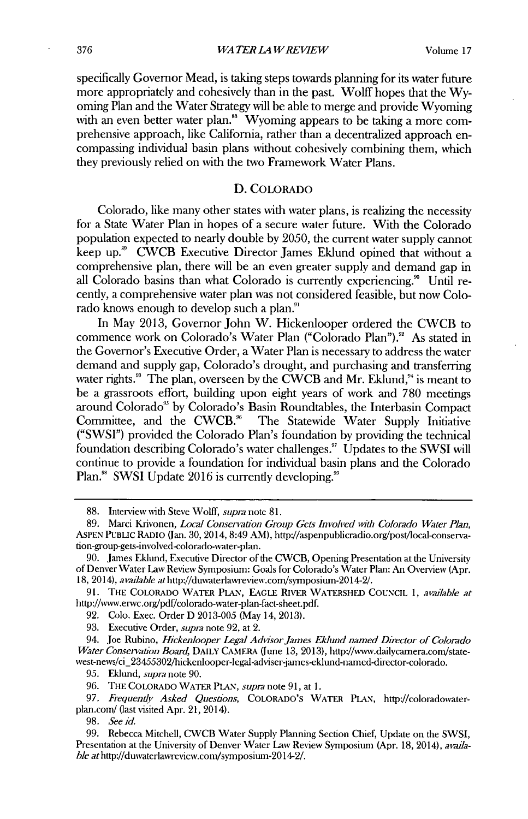specifically Governor Mead, is taking steps towards planning for its water future more appropriately and cohesively than in the past. Wolff hopes that the **Wy**oming Plan and the Water Strategy **will** be able to merge and provide Wyoming with an even better water plan.<sup>88</sup> Wyoming appears to be taking a more comprehensive approach, like California, rather than a decentralized approach encompassing individual basin plans without cohesively combining them, which they previously relied on with the two Framework Water Plans.

#### D. COLORADO

Colorado, like many other states with water plans, is realizing the necessity for a State Water Plan in hopes of a secure water future. With the Colorado population expected to nearly double **by 2050,** the current water supply cannot keep up.<sup>89</sup> CWCB Executive Director James Eklund opined that without a comprehensive plan, there **will** be an even greater supply and demand gap in all Colorado basins than what Colorado is currently experiencing." Until recently, a comprehensive water plan was not considered feasible, but now Colorado knows enough to develop such a plan."

In May **2013,** Governor John W. Hickenlooper ordered the CWCB to commence work on Colorado's Water Plan ("Colorado Plan")." As stated in the Governor's Executive Order, a Water Plan is necessary to address the water demand and supply gap, Colorado's drought, and purchasing and transferring water rights." The plan, overseen **by** the CWCB and Mr. Eklund," is meant to be a grassroots effort, building upon eight years of work and **780** meetings around Colorado" **by** Colorado's Basin Roundtables, the Interbasin Compact The Statewide Water Supply Initiative **("SWSI")** provided the Colorado Plan's foundation **by** providing the technical foundation describing Colorado's water challenges." Updates to the **SWSI** will continue to provide a foundation for individual basin plans and the Colorado Plan." **SWSI** Update **2016** is currently developing."

**93.** Executive Order, *supra* note **92,** at 2.

94. Joe Rubino, *Hickenlooper Legal AdvisorJaunes Ek/wnd named Director of Colorado Water Conservation Board*, DAILY CAMERA (June 13, 2013), http://www.dailycamera.com/statewest-news/ci\_23455302/hickenlooper-legal-adviser-james-eklund-named-director-colorado.

**95.** Eklund, *supra* note **90.**

**<sup>88.</sup>** Interview with Steve Wolff, *supra* note **81.**

**<sup>89.</sup>** Marci Krivonen, *Local Conservation Group Gets Involved with Colorado Water Plan,* **ASPEN PUBLIc RADIO** (lan. **30,** 2014, 8:49 AM), http://aspenpublicradio.org/post/local-conservation-group-gets-involved-colorado-water-plan.

**<sup>90.</sup>** James Eklund, Executive Director of the CWCB, Opening Presentation at the University of Denver Water Law Review Symposium: Goals for Colorado's Water Plan: An Overview (Apr. **18,** 2014), *available at* http://duwaterlawreview.com/symposium-2014-2/.

**<sup>91.</sup> THE COLORADO WATER PLAN, EAGLE RIvER WATERSHED COUNCIL 1,** *available at* http://ww.envc.org/pdf/colorado-water-plan-fact-sheet.pdf.

**<sup>92.</sup>** Colo. Exec. Order **D 2013-005** (May 14, **2013).**

**<sup>96.</sup> THE COLORADO WATER PLAN,** *supra* note **91,** at **1.**

<sup>97.</sup> Frequently Asked Questions, COLORADO'S WATER PLAN, http://coloradowaterplan.com/ (last visited Apr. 21, 2014).

**<sup>98.</sup>** *See id.*

**<sup>99.</sup>** Rebecca Mitchell, CWCB Water Supply Planning Section Chief, Update on the **SWSI,** Presentation at the University of Denver Water Law Review Symposium (Apr. **18,** 2014), *available at* http://duwaterlawreview.com/symposium-2014-2/.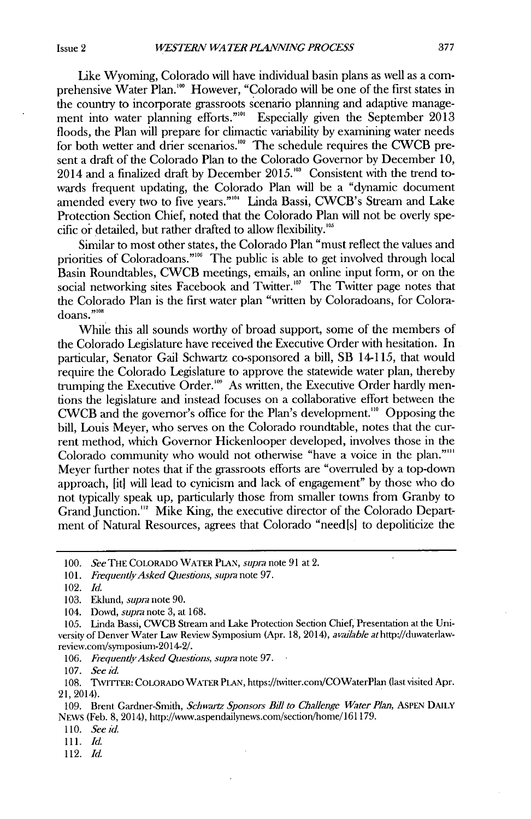Like Wyoming, Colorado will have individual basin plans as well as a comprehensive Water Plan.'" However, "Colorado **will** be one of the first states **in** the country to incorporate grassroots scenario planning and adaptive management into water planning efforts."' Especially given the September **2013** floods, the Plan will prepare for climactic variability **by** examining water needs for both wetter and drier scenarios.<sup>102</sup> The schedule requires the CWCB present a draft of the Colorado Plan to the Colorado Governor **by** December **10,** 2014 and a finalized draft by December 2015.<sup>103</sup> Consistent with the trend towards frequent updating, the Colorado Plan will be a "dynamic document amended every two to five years."'<sup>04</sup> Linda Bassi, CWCB's Stream and Lake Protection Section Chief, noted that the Colorado Plan **will** not be overly specific or detailed, but rather drafted to allow flexibility.<sup>105</sup>

Similar to most other states, the Colorado Plan "must reflect the values and priorities of Coloradoans."<sup>106</sup> The public is able to get involved through local Basin Roundtables, CWCB meetings, emails, an online input form, or on the social networking sites Facebook and Twitter.<sup>107</sup> The Twitter page notes that the Colorado Plan is the first water plan "written **by** Coloradoans, for Coloradoans."10

While this all sounds worthy of broad support, some of the members of the Colorado Legislature have received the Executive Order with hesitation. In particular, Senator Gail Schwartz co-sponsored a bill, SB 14-115, that would require the Colorado Legislature to approve the statewide water plan, thereby trumping the Executive Order.<sup>109</sup> As written, the Executive Order hardly mentions the legislature and instead focuses on a collaborative effort between the CWCB and the governor's office for the Plan's development." Opposing the **bill,** Louis Meyer, who serves on the Colorado roundtable, notes that the current method, which Governor Hickenlooper developed, involves those in the Colorado community who would not otherwise "have a voice in the plan."" Meyer further notes that if the grassroots efforts are "overruled **by** a top-down approach, [it] will lead to cynicism and lack of engagement" **by** those who do not typically speak up, particularly those from smaller towns from Granby to Grand Junction."' Mike King, the executive director of the Colorado Department of Natural Resources, agrees that Colorado "need[s] to depoliticize the

**107.** *See id.*

- *110.* **Seeid.**
- 1 *11. Id.*
- **112.** *Id.*

**<sup>100.</sup>** *See* **THE COLORADO WATER PLAN,** *supra* note **91** at 2.

**<sup>101.</sup>** *FrequentlyAsked Questions, supm* note **97.**

<sup>102.</sup> *Id.*

**<sup>103.</sup>** Eklund, *supra* note **90.**

<sup>104.</sup> Dowd, supia note **3,** at **168.**

**<sup>105.</sup>** Linda Bassi, CWCB Stream and Lake Protection Section Chief, Presentation at the University of Denver Water Law Review Symposium (Apr. **18,** 2014), *avadable* athttp://duwaterlawreview.com/symposium-2014-2/.

*<sup>106.</sup> Frequently Asked Questions, supra* note **97.**

**<sup>108.</sup> TwrrrER: COLORADO WATER PLAN,** https://twitter.com/COWaterPlan (last visited Apr. 21, 2014).

**<sup>109.</sup>** Brent Gardner-Smith, *Schwartz Sponsors Bill to Challenge Water Plan,* **ASPEN DAILY** NEws (Feb. **8,** 2014), http://www.aspendailynews.com/section/home/161179.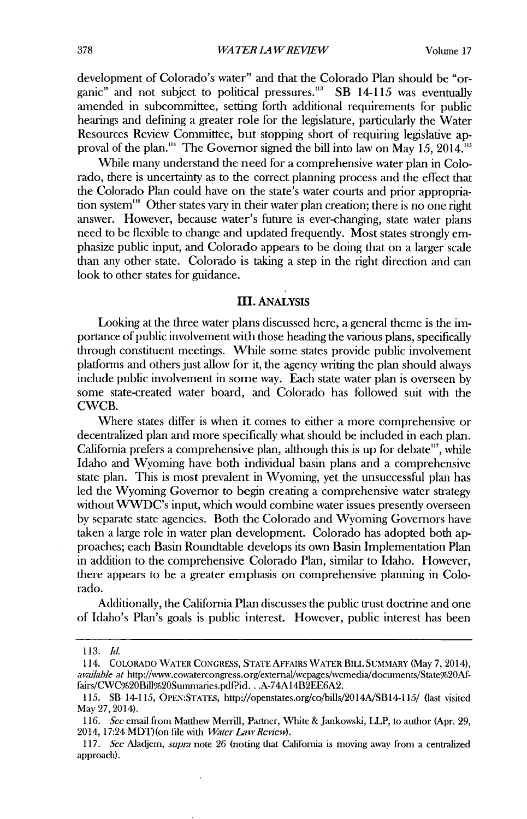development of Colorado's water" and that the Colorado Plan should be "organic" and not subject to political pressures."' SB 14-115 was eventually amended in subcommittee, setting forth additional requirements for public hearings and defining a greater role for the legislature, particularly the Water Resources Review Committee, but stopping short of requiring legislative approval of the plan."' The Governor signed the bill into law on May **15,** 2014."'

While many understand the need for a comprehensive water plan in Colorado, there is uncertainty as to the correct planning process and the effect that the Colorado Plan could have on the state's water courts and prior appropriation system"' Other states vary in their water plan creation; there is no one right answer. However, because water's future is ever-changing, state water plans need to be flexible to change and updated frequently. Most states strongly emphasize public input, and Colorado appears to be doing that on a larger scale than any other state. Colorado is taking a step in the right direction and can look to other states for guidance.

#### **III.** ANALYSIS

Looking at the three water plans discussed here, a general theme is the importance of public involvement with those heading the various plans, specifically through constituent meetings. While some states provide public involvement platfonus and others just allow for it, the agency writing the plan should always include public involvement in some way. Each state water plan is overseen **by** some state-created water board, and Colorado has followed suit with the CWCB.

Where states differ is when it comes to either a more comprehensive or decentralized plan and more specifically what should be included **in** each plan. California prefers a comprehensive plan, although this is up for debate"', while Idaho and Wyoming have both individual basin plans and a comprehensive state plan. This is most prevalent **in** Wyoming, yet the unsuccessful plan has led the Wyoming Governor to begin creating a comprehensive water strategy without WWDC's input, which would combine water issues presently overseen **by** separate state agencies. Both the Colorado and Wyoming Governors have taken a large role in water plan development. Colorado has adopted both approaches; each Basin Roundtable develops its own Basin Implementation Plan in addition to the comprehensive Colorado Plan, similar to Idaho. However, there appears to be a greater emphasis on comprehensive planning in Colorado.

Additionally, the California Plan discusses the public trust doctrine and one of Idaho's Plan's goals is public interest. However, public interest has been

*<sup>113.</sup> Id.*

**<sup>114.</sup> COLORADO WATER CONGRESS, STATE AFFAIRS WATER BILL SUMMARY** (May **7,** 2014), **avaiahle at** http://wvw.cowatercongress.org/externaVwcpages/wcmedia/documents/State%20Affairs/CWC%20Bill%20Sumnaries.pdfid. **.** .A-74Al14B2EE6A2.

**<sup>115.</sup>** SB 14-115, **OPEN:STATES,** http://openstates.Org/co/bills/2014A/SB14-115/ (last visited May **27, 2014).**

**<sup>116.</sup>** *See* email from Matthew Merrill, Partner, White & Jankowski, LLP, to author (Apr. **29,** 2014, 17:24 MDT) (on file with *Water Law Review)*.

*<sup>117.</sup> See Aladjem,* **supra** note **26** (noting that California is moving away from a centralized approach).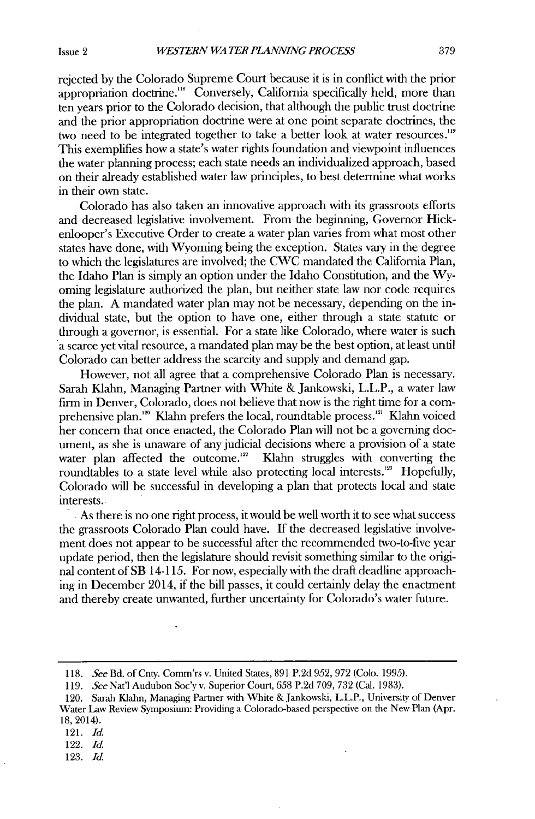rejected **by** the Colorado Supreme Court because it is in conflict with the prior appropriation doctrine."' Conversely, California specifically held, more than ten years prior to the Colorado decision, that although the public trust doctrine and the prior appropriation doctrine were at one point separate doctrines, the two need to **be** integrated together to take a better look at water resources."9 This exemplifies how a state's water rights foundation and viewpoint influences the water planning process; each state needs an individualized approach, based on their already established water law principles, to best determine what works in their own state.

Colorado has also taken an innovative approach with its grassroots efforts and decreased legislative involvement. From the beginning, Governor Hickenlooper's Executive Order to create a water plan varies from what most other states have done, with Wyoming being the exception. States vary in the degree to which the legislatures are involved; the CWC mandated the California Plan, the Idaho Plan is simply an option under the Idaho Constitution, and the **Wy**oming legislature authorized the plan, but neither state law nor code requires the plan. **A** mandated water plan may not be necessary, depending on the individual state, but the option to have one, either through a state statute or through a governor, is essential. For a state like Colorado, where water is such a scarce yet vital resource, a mandated plan may be the best option, at least until Colorado can better address the scarcity and supply and demand gap.

However, not all agree that a comprehensive Colorado Plan is necessary. Sarah Klahn, Managing Partner with White **&** Jankowski, **L.L.P.,** a water law firm in Denver, Colorado, does not believe that now is the right time for a comprehensive plan.<sup>120</sup> Klahn prefers the local, roundtable process.<sup>121</sup> Klahn voiced her concern that once enacted, the Colorado Plan **will** not be a governing document, as she is unaware of any judicial decisions where a provision of a state water plan affected the outcome.<sup>122</sup> Klahn struggles with converting the roundtables to a state level while also protecting local interests.<sup>123</sup> Hopefully, Colorado **will** be successful in developing a plan that protects local and state interests.

As there is no one right process, it would be well worth it to see what success the grassroots Colorado Plan could have. **If** the decreased legislative involvement does not appear to be successful after the recommended two-to-five year update period, then the legislature should revisit something similar to the original content of SB 14-115. For now, especially with the draft deadline approaching in December 2014, **if** the **bill** passes, it could certainly delay the enactment and thereby create unwanted, further uncertainty for Colorado's water future.

- 121. *Id.*
- 122. *Id.*
- **123.** *Id.*

*<sup>118.</sup> See* Bd. of Cnty. Comm'rs v. United States, **891 P.2d 952, 972** (Colo. **1995).**

*<sup>119.</sup> See* Nat'l Audubon Soc'y v. Superior Court, *658* **P.2d 709, 732** (Cal. **1983).**

<sup>120.</sup> Sarah Klahn, Managing Partner with White **&** Jankowski, L.L.P., University of Denver Water Law Review Symposium: Providing a Colorado-based perspective on the New Plan (Apr. 18, 2014).